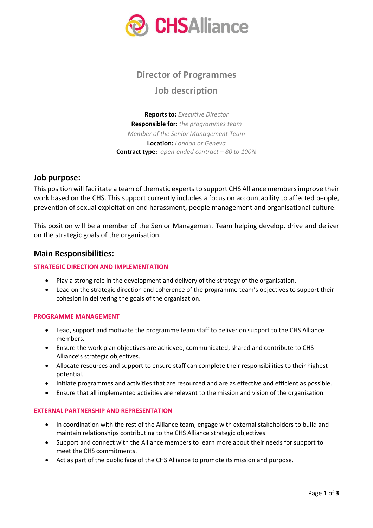

# **Director of Programmes Job description**

**Reports to:** *Executive Director* **Responsible for:** *the programmes team Member of the Senior Management Team* **Location:** *London or Geneva* **Contract type:** *open-ended contract – 80 to 100%*

## **Job purpose:**

This position will facilitate a team of thematic experts to support CHS Alliance members improve their work based on the CHS. This support currently includes a focus on accountability to affected people, prevention of sexual exploitation and harassment, people management and organisational culture.

This position will be a member of the Senior Management Team helping develop, drive and deliver on the strategic goals of the organisation.

## **Main Responsibilities:**

#### **STRATEGIC DIRECTION AND IMPLEMENTATION**

- Play a strong role in the development and delivery of the strategy of the organisation.
- Lead on the strategic direction and coherence of the programme team's objectives to support their cohesion in delivering the goals of the organisation.

#### **PROGRAMME MANAGEMENT**

- Lead, support and motivate the programme team staff to deliver on support to the CHS Alliance members.
- Ensure the work plan objectives are achieved, communicated, shared and contribute to CHS Alliance's strategic objectives.
- Allocate resources and support to ensure staff can complete their responsibilities to their highest potential.
- Initiate programmes and activities that are resourced and are as effective and efficient as possible.
- Ensure that all implemented activities are relevant to the mission and vision of the organisation.

#### **EXTERNAL PARTNERSHIP AND REPRESENTATION**

- In coordination with the rest of the Alliance team, engage with external stakeholders to build and maintain relationships contributing to the CHS Alliance strategic objectives.
- Support and connect with the Alliance members to learn more about their needs for support to meet the CHS commitments.
- Act as part of the public face of the CHS Alliance to promote its mission and purpose.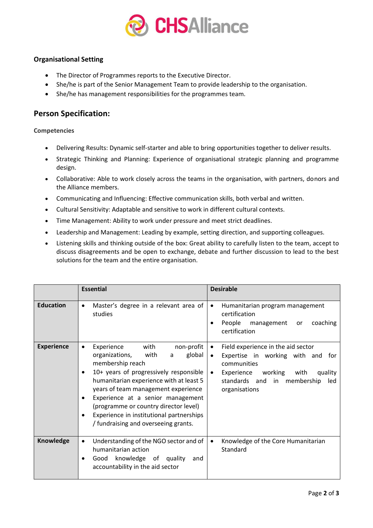

### **Organisational Setting**

- The Director of Programmes reports to the Executive Director.
- She/he is part of the Senior Management Team to provide leadership to the organisation.
- She/he has management responsibilities for the programmes team.

# **Person Specification:**

**Competencies**

- Delivering Results: Dynamic self-starter and able to bring opportunities together to deliver results.
- Strategic Thinking and Planning: Experience of organisational strategic planning and programme design.
- Collaborative: Able to work closely across the teams in the organisation, with partners, donors and the Alliance members.
- Communicating and Influencing: Effective communication skills, both verbal and written.
- Cultural Sensitivity: Adaptable and sensitive to work in different cultural contexts.
- Time Management: Ability to work under pressure and meet strict deadlines.
- Leadership and Management: Leading by example, setting direction, and supporting colleagues.
- Listening skills and thinking outside of the box: Great ability to carefully listen to the team, accept to discuss disagreements and be open to exchange, debate and further discussion to lead to the best solutions for the team and the entire organisation.

|                   | <b>Essential</b>                                                                                                                                                                                                                                                                                                                                                                              | <b>Desirable</b>                                                                                                                                                                                                                 |  |
|-------------------|-----------------------------------------------------------------------------------------------------------------------------------------------------------------------------------------------------------------------------------------------------------------------------------------------------------------------------------------------------------------------------------------------|----------------------------------------------------------------------------------------------------------------------------------------------------------------------------------------------------------------------------------|--|
| <b>Education</b>  | Master's degree in a relevant area of<br>$\bullet$<br>studies                                                                                                                                                                                                                                                                                                                                 | Humanitarian program management<br>$\bullet$<br>certification<br>coaching<br>People<br>management<br>or<br>certification                                                                                                         |  |
| <b>Experience</b> | with<br>non-profit<br>Experience<br>٠<br>global<br>organizations, with<br>a<br>membership reach<br>10+ years of progressively responsible<br>humanitarian experience with at least 5<br>years of team management experience<br>Experience at a senior management<br>(programme or country director level)<br>Experience in institutional partnerships<br>/ fundraising and overseeing grants. | Field experience in the aid sector<br>$\bullet$<br>Expertise in working with and for<br>$\bullet$<br>communities<br>working<br>Experience<br>with<br>quality<br>$\bullet$<br>standards and in membership<br>led<br>organisations |  |
| Knowledge         | Understanding of the NGO sector and of<br>$\bullet$<br>humanitarian action<br>Good knowledge of quality<br>and<br>accountability in the aid sector                                                                                                                                                                                                                                            | Knowledge of the Core Humanitarian<br>$\bullet$<br>Standard                                                                                                                                                                      |  |